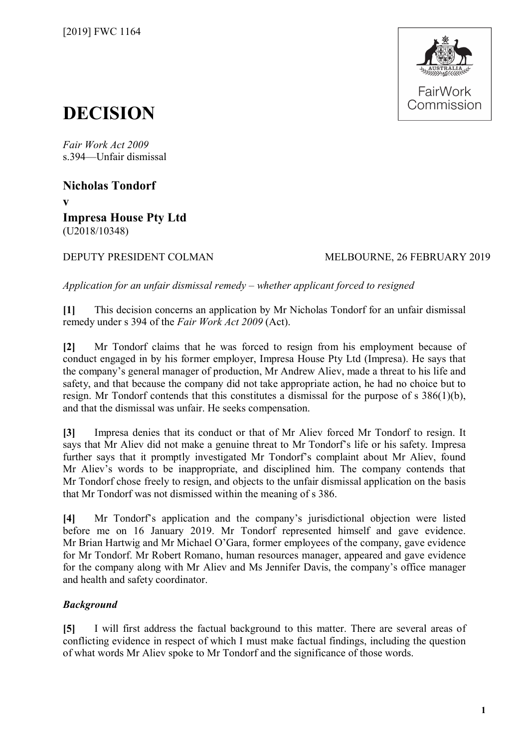

# **DECISION**

*Fair Work Act 2009*  s.394—Unfair dismissal

**Nicholas Tondorf v Impresa House Pty Ltd**  (U2018/10348)

### DEPUTY PRESIDENT COLMAN MELBOURNE, 26 FEBRUARY 2019

*Application for an unfair dismissal remedy – whether applicant forced to resigned* 

**[1]** This decision concerns an application by Mr Nicholas Tondorf for an unfair dismissal remedy under s 394 of the *Fair Work Act 2009* (Act).

**[2]** Mr Tondorf claims that he was forced to resign from his employment because of conduct engaged in by his former employer, Impresa House Pty Ltd (Impresa). He says that the company's general manager of production, Mr Andrew Aliev, made a threat to his life and safety, and that because the company did not take appropriate action, he had no choice but to resign. Mr Tondorf contends that this constitutes a dismissal for the purpose of s 386(1)(b), and that the dismissal was unfair. He seeks compensation.

**[3]** Impresa denies that its conduct or that of Mr Aliev forced Mr Tondorf to resign. It says that Mr Aliev did not make a genuine threat to Mr Tondorf's life or his safety. Impresa further says that it promptly investigated Mr Tondorf's complaint about Mr Aliev, found Mr Aliev's words to be inappropriate, and disciplined him. The company contends that Mr Tondorf chose freely to resign, and objects to the unfair dismissal application on the basis that Mr Tondorf was not dismissed within the meaning of s 386.

**[4]** Mr Tondorf's application and the company's jurisdictional objection were listed before me on 16 January 2019. Mr Tondorf represented himself and gave evidence. Mr Brian Hartwig and Mr Michael O'Gara, former employees of the company, gave evidence for Mr Tondorf. Mr Robert Romano, human resources manager, appeared and gave evidence for the company along with Mr Aliev and Ms Jennifer Davis, the company's office manager and health and safety coordinator.

## *Background*

**[5]** I will first address the factual background to this matter. There are several areas of conflicting evidence in respect of which I must make factual findings, including the question of what words Mr Aliev spoke to Mr Tondorf and the significance of those words.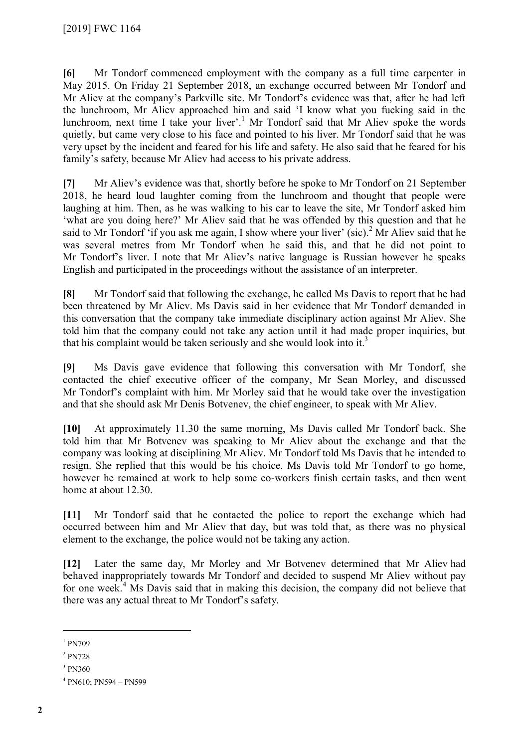**[6]** Mr Tondorf commenced employment with the company as a full time carpenter in May 2015. On Friday 21 September 2018, an exchange occurred between Mr Tondorf and Mr Aliev at the company's Parkville site. Mr Tondorf's evidence was that, after he had left the lunchroom, Mr Aliev approached him and said 'I know what you fucking said in the lunchroom, next time I take your liver'.<sup>[1](#page-1-0)</sup> Mr Tondorf said that Mr Aliev spoke the words quietly, but came very close to his face and pointed to his liver. Mr Tondorf said that he was very upset by the incident and feared for his life and safety. He also said that he feared for his family's safety, because Mr Aliev had access to his private address.

**[7]** Mr Aliev's evidence was that, shortly before he spoke to Mr Tondorf on 21 September 2018, he heard loud laughter coming from the lunchroom and thought that people were laughing at him. Then, as he was walking to his car to leave the site, Mr Tondorf asked him 'what are you doing here?' Mr Aliev said that he was offended by this question and that he said to Mr Tondorf 'if you ask me again, I show where your liver' (sic).<sup>[2](#page-1-1)</sup> Mr Aliev said that he was several metres from Mr Tondorf when he said this, and that he did not point to Mr Tondorf's liver. I note that Mr Aliev's native language is Russian however he speaks English and participated in the proceedings without the assistance of an interpreter.

**[8]** Mr Tondorf said that following the exchange, he called Ms Davis to report that he had been threatened by Mr Aliev. Ms Davis said in her evidence that Mr Tondorf demanded in this conversation that the company take immediate disciplinary action against Mr Aliev. She told him that the company could not take any action until it had made proper inquiries, but that his complaint would be taken seriously and she would look into it.<sup>[3](#page-1-2)</sup>

**[9]** Ms Davis gave evidence that following this conversation with Mr Tondorf, she contacted the chief executive officer of the company, Mr Sean Morley, and discussed Mr Tondorf's complaint with him. Mr Morley said that he would take over the investigation and that she should ask Mr Denis Botvenev, the chief engineer, to speak with Mr Aliev.

**[10]** At approximately 11.30 the same morning, Ms Davis called Mr Tondorf back. She told him that Mr Botvenev was speaking to Mr Aliev about the exchange and that the company was looking at disciplining Mr Aliev. Mr Tondorf told Ms Davis that he intended to resign. She replied that this would be his choice. Ms Davis told Mr Tondorf to go home, however he remained at work to help some co-workers finish certain tasks, and then went home at about 12.30.

**[11]** Mr Tondorf said that he contacted the police to report the exchange which had occurred between him and Mr Aliev that day, but was told that, as there was no physical element to the exchange, the police would not be taking any action.

**[12]** Later the same day, Mr Morley and Mr Botvenev determined that Mr Aliev had behaved inappropriately towards Mr Tondorf and decided to suspend Mr Aliev without pay for one week.<sup>[4](#page-1-3)</sup> Ms Davis said that in making this decision, the company did not believe that there was any actual threat to Mr Tondorf's safety.

 $\overline{a}$ 

<span id="page-1-0"></span><sup>&</sup>lt;sup>1</sup> PN709

<span id="page-1-1"></span><sup>2</sup> PN728

<span id="page-1-3"></span><span id="page-1-2"></span><sup>3</sup> PN360

<sup>4</sup> PN610; PN594 – PN599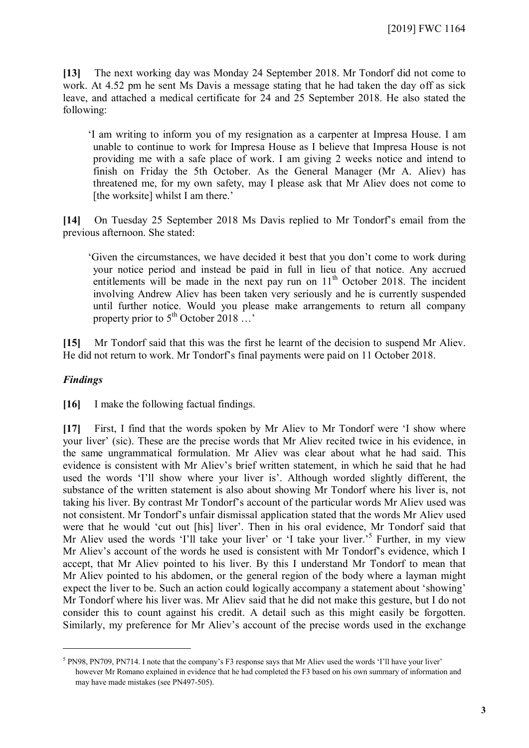**[13]** The next working day was Monday 24 September 2018. Mr Tondorf did not come to work. At 4.52 pm he sent Ms Davis a message stating that he had taken the day off as sick leave, and attached a medical certificate for 24 and 25 September 2018. He also stated the following:

'I am writing to inform you of my resignation as a carpenter at Impresa House. I am unable to continue to work for Impresa House as I believe that Impresa House is not providing me with a safe place of work. I am giving 2 weeks notice and intend to finish on Friday the 5th October. As the General Manager (Mr A. Aliev) has threatened me, for my own safety, may I please ask that Mr Aliev does not come to [the worksite] whilst I am there.'

**[14]** On Tuesday 25 September 2018 Ms Davis replied to Mr Tondorf's email from the previous afternoon. She stated:

'Given the circumstances, we have decided it best that you don't come to work during your notice period and instead be paid in full in lieu of that notice. Any accrued entitlements will be made in the next pay run on  $11<sup>th</sup>$  October 2018. The incident involving Andrew Aliev has been taken very seriously and he is currently suspended until further notice. Would you please make arrangements to return all company property prior to  $5^{\text{th}}$  October 2018 ...'

**[15]** Mr Tondorf said that this was the first he learnt of the decision to suspend Mr Aliev. He did not return to work. Mr Tondorf's final payments were paid on 11 October 2018.

### *Findings*

 $\overline{a}$ 

**[16]** I make the following factual findings.

**[17]** First, I find that the words spoken by Mr Aliev to Mr Tondorf were 'I show where your liver' (sic). These are the precise words that Mr Aliev recited twice in his evidence, in the same ungrammatical formulation. Mr Aliev was clear about what he had said. This evidence is consistent with Mr Aliev's brief written statement, in which he said that he had used the words 'I'll show where your liver is'. Although worded slightly different, the substance of the written statement is also about showing Mr Tondorf where his liver is, not taking his liver. By contrast Mr Tondorf's account of the particular words Mr Aliev used was not consistent. Mr Tondorf's unfair dismissal application stated that the words Mr Aliev used were that he would 'cut out [his] liver'. Then in his oral evidence, Mr Tondorf said that Mr Aliev used the words 'I'll take your liver' or 'I take your liver.<sup>[5](#page-2-0)5</sup> Further, in my view Mr Aliev's account of the words he used is consistent with Mr Tondorf's evidence, which I accept, that Mr Aliev pointed to his liver. By this I understand Mr Tondorf to mean that Mr Aliev pointed to his abdomen, or the general region of the body where a layman might expect the liver to be. Such an action could logically accompany a statement about 'showing' Mr Tondorf where his liver was. Mr Aliev said that he did not make this gesture, but I do not consider this to count against his credit. A detail such as this might easily be forgotten. Similarly, my preference for Mr Aliev's account of the precise words used in the exchange

<span id="page-2-0"></span> $<sup>5</sup>$  PN98, PN709, PN714. I note that the company's F3 response says that Mr Aliev used the words 'I'll have your liver'</sup> however Mr Romano explained in evidence that he had completed the F3 based on his own summary of information and may have made mistakes (see PN497-505).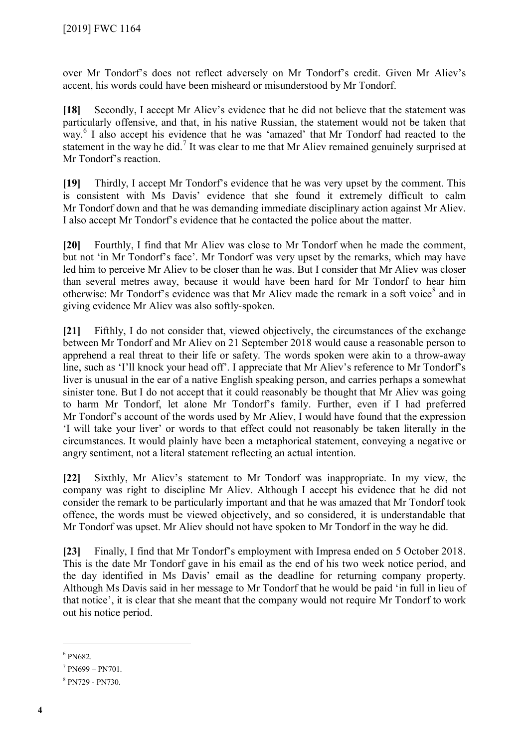over Mr Tondorf's does not reflect adversely on Mr Tondorf's credit. Given Mr Aliev's accent, his words could have been misheard or misunderstood by Mr Tondorf.

**[18]** Secondly, I accept Mr Aliev's evidence that he did not believe that the statement was particularly offensive, and that, in his native Russian, the statement would not be taken that way. [6](#page-3-0) I also accept his evidence that he was 'amazed' that Mr Tondorf had reacted to the statement in the way he did.<sup>[7](#page-3-1)</sup> It was clear to me that Mr Aliev remained genuinely surprised at Mr Tondorf's reaction.

**[19]** Thirdly, I accept Mr Tondorf's evidence that he was very upset by the comment. This is consistent with Ms Davis' evidence that she found it extremely difficult to calm Mr Tondorf down and that he was demanding immediate disciplinary action against Mr Aliev. I also accept Mr Tondorf's evidence that he contacted the police about the matter.

**[20]** Fourthly, I find that Mr Aliev was close to Mr Tondorf when he made the comment, but not 'in Mr Tondorf's face'. Mr Tondorf was very upset by the remarks, which may have led him to perceive Mr Aliev to be closer than he was. But I consider that Mr Aliev was closer than several metres away, because it would have been hard for Mr Tondorf to hear him otherwise: Mr Tondorf's evidence was that Mr Aliev made the remark in a soft voice<sup>[8](#page-3-2)</sup> and in giving evidence Mr Aliev was also softly-spoken.

**[21]** Fifthly, I do not consider that, viewed objectively, the circumstances of the exchange between Mr Tondorf and Mr Aliev on 21 September 2018 would cause a reasonable person to apprehend a real threat to their life or safety. The words spoken were akin to a throw-away line, such as 'I'll knock your head off'. I appreciate that Mr Aliev's reference to Mr Tondorf's liver is unusual in the ear of a native English speaking person, and carries perhaps a somewhat sinister tone. But I do not accept that it could reasonably be thought that Mr Aliev was going to harm Mr Tondorf, let alone Mr Tondorf's family. Further, even if I had preferred Mr Tondorf's account of the words used by Mr Aliev, I would have found that the expression 'I will take your liver' or words to that effect could not reasonably be taken literally in the circumstances. It would plainly have been a metaphorical statement, conveying a negative or angry sentiment, not a literal statement reflecting an actual intention.

**[22]** Sixthly, Mr Aliev's statement to Mr Tondorf was inappropriate. In my view, the company was right to discipline Mr Aliev. Although I accept his evidence that he did not consider the remark to be particularly important and that he was amazed that Mr Tondorf took offence, the words must be viewed objectively, and so considered, it is understandable that Mr Tondorf was upset. Mr Aliev should not have spoken to Mr Tondorf in the way he did.

**[23]** Finally, I find that Mr Tondorf's employment with Impresa ended on 5 October 2018. This is the date Mr Tondorf gave in his email as the end of his two week notice period, and the day identified in Ms Davis' email as the deadline for returning company property. Although Ms Davis said in her message to Mr Tondorf that he would be paid 'in full in lieu of that notice', it is clear that she meant that the company would not require Mr Tondorf to work out his notice period.

 $\overline{a}$ 

<span id="page-3-0"></span><sup>6</sup> PN682.

<span id="page-3-2"></span><span id="page-3-1"></span> $7 P N699 - P N701.$ 

<sup>8</sup> PN729 - PN730.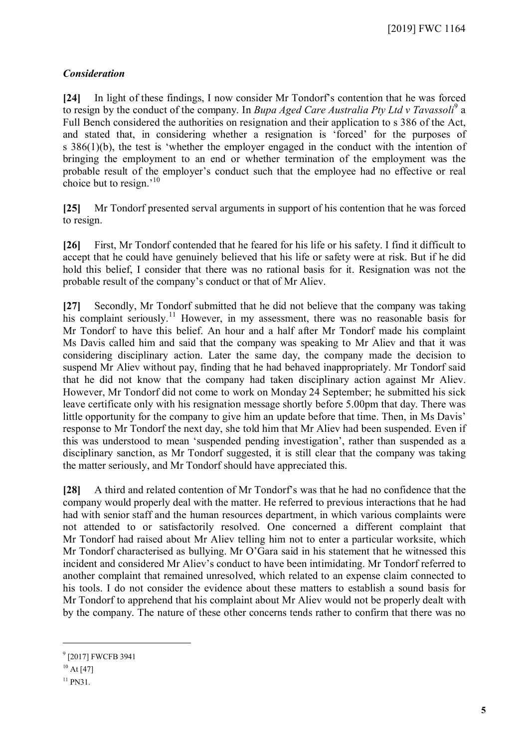### *Consideration*

**[24]** In light of these findings, I now consider Mr Tondorf's contention that he was forced to resign by the conduct of the company. In *Bupa Aged Care Australia Pty Ltd v Tavassoli*<sup>[9](#page-4-0)</sup> a Full Bench considered the authorities on resignation and their application to s 386 of the Act. and stated that, in considering whether a resignation is 'forced' for the purposes of s 386(1)(b), the test is 'whether the employer engaged in the conduct with the intention of bringing the employment to an end or whether termination of the employment was the probable result of the employer's conduct such that the employee had no effective or real choice but to resign.'[10](#page-4-1)

**[25]** Mr Tondorf presented serval arguments in support of his contention that he was forced to resign.

**[26]** First, Mr Tondorf contended that he feared for his life or his safety. I find it difficult to accept that he could have genuinely believed that his life or safety were at risk. But if he did hold this belief, I consider that there was no rational basis for it. Resignation was not the probable result of the company's conduct or that of Mr Aliev.

**[27]** Secondly, Mr Tondorf submitted that he did not believe that the company was taking his complaint seriously.<sup>[11](#page-4-2)</sup> However, in my assessment, there was no reasonable basis for Mr Tondorf to have this belief. An hour and a half after Mr Tondorf made his complaint Ms Davis called him and said that the company was speaking to Mr Aliev and that it was considering disciplinary action. Later the same day, the company made the decision to suspend Mr Aliev without pay, finding that he had behaved inappropriately. Mr Tondorf said that he did not know that the company had taken disciplinary action against Mr Aliev. However, Mr Tondorf did not come to work on Monday 24 September; he submitted his sick leave certificate only with his resignation message shortly before 5.00pm that day. There was little opportunity for the company to give him an update before that time. Then, in Ms Davis' response to Mr Tondorf the next day, she told him that Mr Aliev had been suspended. Even if this was understood to mean 'suspended pending investigation', rather than suspended as a disciplinary sanction, as Mr Tondorf suggested, it is still clear that the company was taking the matter seriously, and Mr Tondorf should have appreciated this.

**[28]** A third and related contention of Mr Tondorf's was that he had no confidence that the company would properly deal with the matter. He referred to previous interactions that he had had with senior staff and the human resources department, in which various complaints were not attended to or satisfactorily resolved. One concerned a different complaint that Mr Tondorf had raised about Mr Aliev telling him not to enter a particular worksite, which Mr Tondorf characterised as bullying. Mr O'Gara said in his statement that he witnessed this incident and considered Mr Aliev's conduct to have been intimidating. Mr Tondorf referred to another complaint that remained unresolved, which related to an expense claim connected to his tools. I do not consider the evidence about these matters to establish a sound basis for Mr Tondorf to apprehend that his complaint about Mr Aliev would not be properly dealt with by the company. The nature of these other concerns tends rather to confirm that there was no

 $\overline{a}$ 

<span id="page-4-0"></span><sup>&</sup>lt;sup>9</sup> [2017] FWCFB 3941

<span id="page-4-2"></span><span id="page-4-1"></span> $10$  At [47]

 $11$  PN31.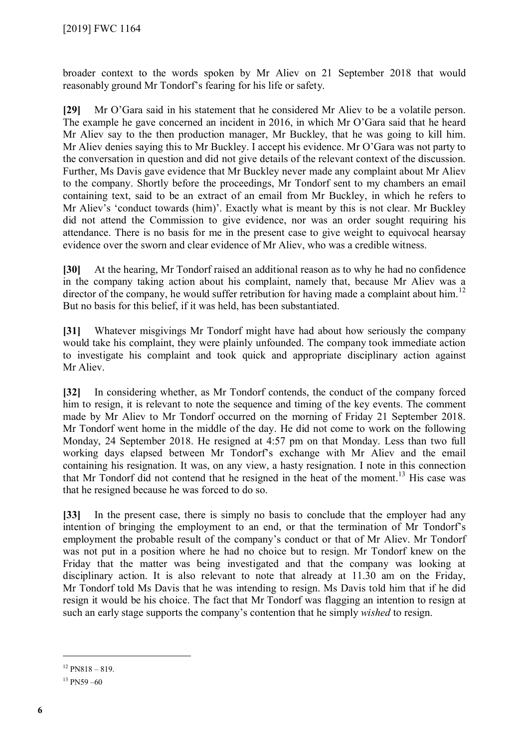broader context to the words spoken by Mr Aliev on 21 September 2018 that would reasonably ground Mr Tondorf's fearing for his life or safety.

**[29]** Mr O'Gara said in his statement that he considered Mr Aliev to be a volatile person. The example he gave concerned an incident in 2016, in which Mr O'Gara said that he heard Mr Aliev say to the then production manager, Mr Buckley, that he was going to kill him. Mr Aliev denies saying this to Mr Buckley. I accept his evidence. Mr O'Gara was not party to the conversation in question and did not give details of the relevant context of the discussion. Further, Ms Davis gave evidence that Mr Buckley never made any complaint about Mr Aliev to the company. Shortly before the proceedings, Mr Tondorf sent to my chambers an email containing text, said to be an extract of an email from Mr Buckley, in which he refers to Mr Aliev's 'conduct towards (him)'. Exactly what is meant by this is not clear. Mr Buckley did not attend the Commission to give evidence, nor was an order sought requiring his attendance. There is no basis for me in the present case to give weight to equivocal hearsay evidence over the sworn and clear evidence of Mr Aliev, who was a credible witness.

**[30]** At the hearing, Mr Tondorf raised an additional reason as to why he had no confidence in the company taking action about his complaint, namely that, because Mr Aliev was a director of the company, he would suffer retribution for having made a complaint about him.<sup>[12](#page-5-0)</sup> But no basis for this belief, if it was held, has been substantiated.

**[31]** Whatever misgivings Mr Tondorf might have had about how seriously the company would take his complaint, they were plainly unfounded. The company took immediate action to investigate his complaint and took quick and appropriate disciplinary action against Mr Aliev.

**[32]** In considering whether, as Mr Tondorf contends, the conduct of the company forced him to resign, it is relevant to note the sequence and timing of the key events. The comment made by Mr Aliev to Mr Tondorf occurred on the morning of Friday 21 September 2018. Mr Tondorf went home in the middle of the day. He did not come to work on the following Monday, 24 September 2018. He resigned at 4:57 pm on that Monday. Less than two full working days elapsed between Mr Tondorf's exchange with Mr Aliev and the email containing his resignation. It was, on any view, a hasty resignation. I note in this connection that Mr Tondorf did not contend that he resigned in the heat of the moment. [13](#page-5-1) His case was that he resigned because he was forced to do so.

**[33]** In the present case, there is simply no basis to conclude that the employer had any intention of bringing the employment to an end, or that the termination of Mr Tondorf's employment the probable result of the company's conduct or that of Mr Aliev. Mr Tondorf was not put in a position where he had no choice but to resign. Mr Tondorf knew on the Friday that the matter was being investigated and that the company was looking at disciplinary action. It is also relevant to note that already at 11.30 am on the Friday, Mr Tondorf told Ms Davis that he was intending to resign. Ms Davis told him that if he did resign it would be his choice. The fact that Mr Tondorf was flagging an intention to resign at such an early stage supports the company's contention that he simply *wished* to resign.

<span id="page-5-1"></span><span id="page-5-0"></span> $12$  PN818 – 819.

 $13$  PN59 –60